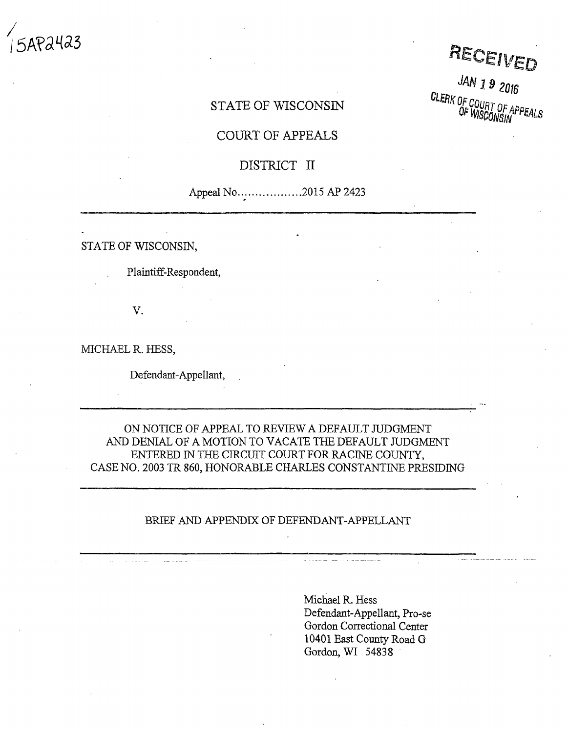**/**  $P<sub>2</sub>423$ 

RECEIVED

JAN 19 2016 CLERK OF COURT OF APPEALS

# STATE OF WISCONSIN

## COURT OF APPEALS

# DISTRICT II

# Appeal No ... ... ... ... ... ... 2015 AP 2423

STATE OF WISCONSIN,

Plaintiff-Respondent,

V.

MICHAEL R. HESS,

Defendant-Appellant,

ON NOTICE OF APPEAL TO REVIEW A DEFAULT JUDGMENT AND DENIAL OF A MOTION TO VACATE THE DEFAULT JUDGMENT ENTERED IN THE CIRCUIT COURT FOR RACINE COUNTY, CASE NO. 2003 TR 860, HONORABLE CHARLES CONSTANTINE PRESIDING

### BRIEF AND APPENDIX OF DEFENDANT-APPELLANT

Michael R. Hess Defendant-Appellant, Pro-se Gordon Correctional Center 10401 East County Road G Gordon, WI 54838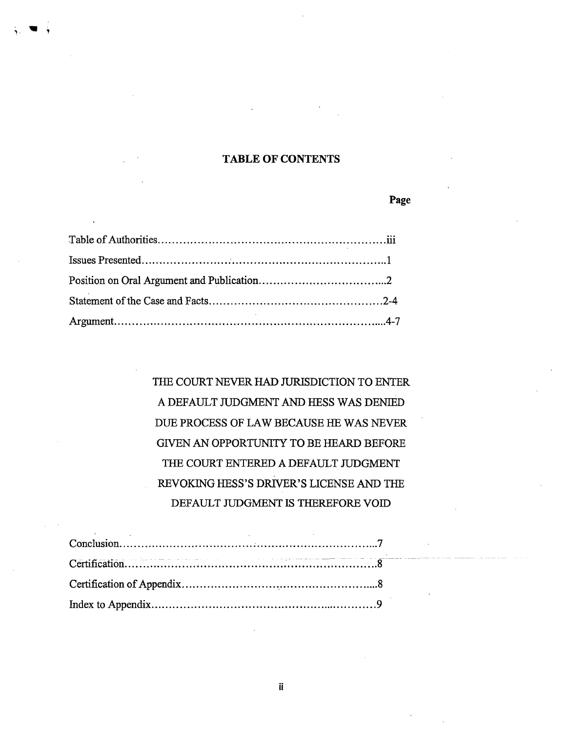## **TABLE OF CONTENTS**

**Page**

**V <sup>T</sup>**

THE COURT NEVER HAD JURISDICTION TO ENTER A DEFAULT JUDGMENT AND HESS WAS DENIED DUE PROCESS OF LAW BECAUSE HE WAS NEVER GIVEN AN OPPORTUNITY TO BE HEARD BEFORE THE COURT ENTERED A DEFAULT JUDGMENT REVOKING HESS'S DRIVER'S LICENSE AND THE DEFAULT JUDGMENT IS THEREFORE VOID

**ii**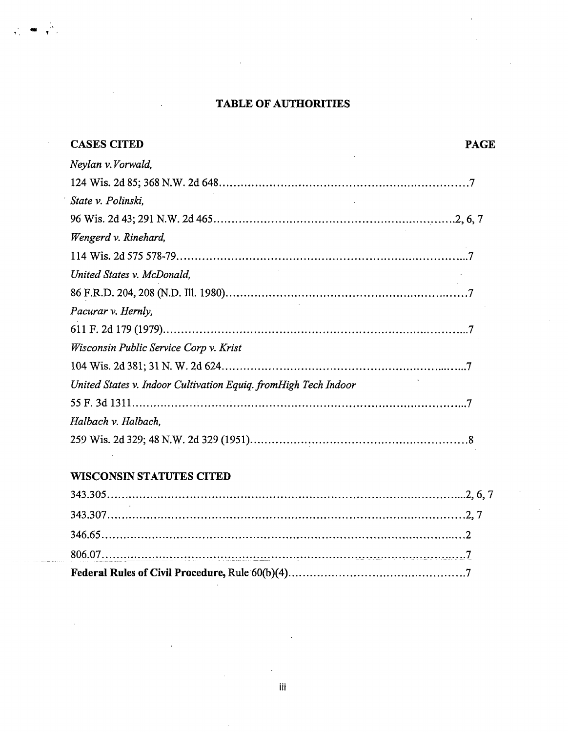# **TABLE OF AUTHORITIES**

| <b>CASES CITED</b>                                              | <b>PAGE</b> |
|-----------------------------------------------------------------|-------------|
| Neylan v.Vorwald,                                               |             |
|                                                                 |             |
| State v. Polinski,                                              |             |
|                                                                 |             |
| Wengerd v. Rinehard,                                            |             |
|                                                                 |             |
| United States v. McDonald,                                      |             |
|                                                                 |             |
| Pacurar v. Hernly,                                              |             |
|                                                                 |             |
| Wisconsin Public Service Corp v. Krist                          |             |
|                                                                 |             |
| United States v. Indoor Cultivation Equiq. fromHigh Tech Indoor |             |
|                                                                 |             |
| Halbach v. Halbach,                                             |             |
|                                                                 |             |
| <b>WISCONSIN STATUTES CITED</b>                                 |             |
|                                                                 |             |
|                                                                 |             |
|                                                                 |             |
|                                                                 |             |

**Federal Rules of Civil Procedure, Rule 60(b)(4) 7**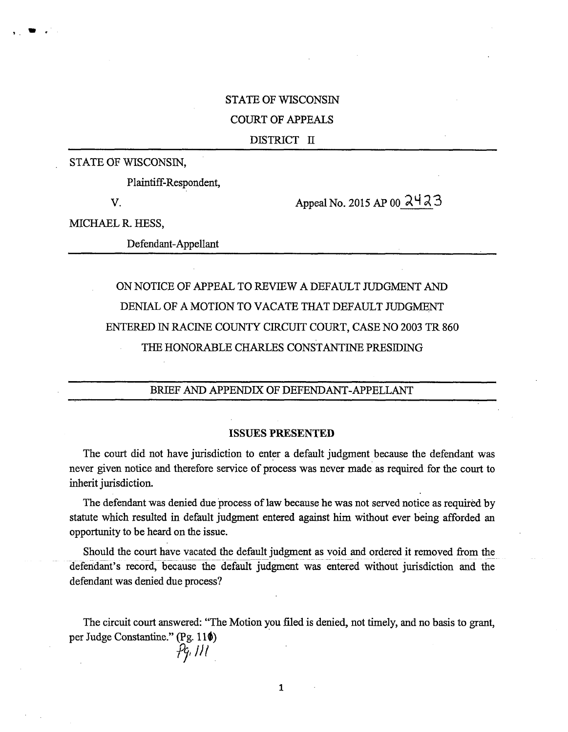### STATE OF WISCONSIN

### COURT OF APPEALS

#### DISTRICT II

#### STATE OF WISCONSIN,

Plaintiff-Respondent,

t .

V. Appeal No. 2015 AP 00  $\lambda$ 4  $\lambda$ 3

MICHAEL R. HESS,

Defendant-Appellant

# ON NOTICE OF APPEAL TO REVIEW A DEFAULT JUDGMENT AND DENIAL OF A MOTION TO VACATE THAT DEFAULT JUDGMENT ENTERED IN RACINE COUNTY CIRCUIT COURT, CASE NO 2003 TR 860 THE HONORABLE CHARLES CONSTANTINE PRESIDING

### BRIEF AND APPENDIX OF DEFENDANT-APPELLANT

#### **ISSUES PRESENTED**

The court did not have jurisdiction to enter a default judgment because the defendant was never given notice and therefore service of process was never made as required for the court to inherit jurisdiction.

The defendant was denied due process of law because he was not served notice as required by statute which resulted in default judgment entered against him without ever being afforded an opportunity to be heard on the issue.

Should the court have vacated the default judgment as void and ordered it removed from the defendant's record, because the default judgment was entered without jurisdiction and the defendant was denied due process?

The circuit court answered: "The Motion you filed is denied, not timely, and no basis to grant, per Judge Constantine." (Pg. **lilt)** *hut*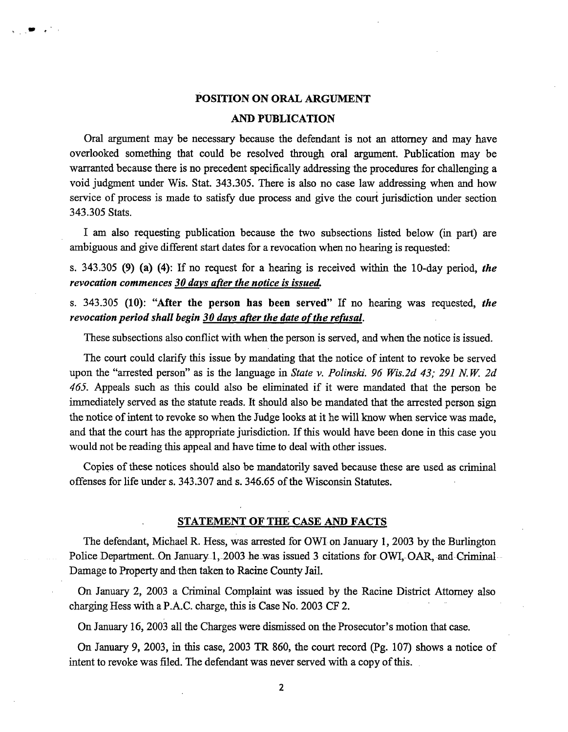### **POSITION ON ORAL ARGUMENT**

*w*

 $\sim$ 

#### **AND PUBLICATION**

Oral argument may be necessary because the defendant is not an attorney and may have overlooked something that could be resolved through oral argument. Publication may be warranted because there is no precedent specifically addressing the procedures for challenging a void judgment under Wis. Stat. 343.305. There is also no case law addressing when and how service of process is made to satisfy due process and give the court jurisdiction under section 343.305 Stats.

I am also requesting publication because the two subsections listed below (in part) are ambiguous and give different start dates for a revocation when no hearing is requested:

s. 343.305 (9) (a) (4): If no request for <sup>a</sup> hearing is received within the 10-day period, *the revocation commences 30 days after the notice is issued.*

s. 343.305 **(10): "After the person has been served"** If no hearing was requested, *the revocation period shall begin* 30 *days after the date of the refusal.* 

These subsections also conflict with when the person is served, and when the notice is issued.

The court could clarify this issue by mandating that the notice of intent to revoke be served upon the "arrested person" as is the language in *State* v. *Polinski. <sup>96</sup> Wis.2d 43; <sup>291</sup> N.W. 2d 465.* Appeals such as this could also be eliminated if it were mandated that the person be immediately served as the statute reads. It should also be mandated that the arrested person sign the notice of intent to revoke so when the Judge looks at it he will know when service was made, and that the court has the appropriate jurisdiction. If this would have been done in this case you would not be reading this appeal and have time to deal with other issues.

Copies of these notices should also be mandatorily saved because these are used as criminal offenses for life under s. 343.307 and s. 346.65 of the Wisconsin Statutes.

#### STATEMENT OF THE CASE AND FACTS

The defendant, Michael R. Hess, was arrested for OWI on January 1, 2003 by the Burlington Police Department. On January 1, 2003 he was issued 3 citations for OWI, OAR, and Criminal Damage to Property and then taken to Racine County Jail.

On January 2, 2003 a Criminal Complaint was issued by the Racine District Attorney also charging Hess with a P.A.C. charge, this is Case No. 2003 CF 2.

On January 16,2003 all the Charges were dismissed on the Prosecutor's motion that case.

On January 9, 2003, in this case, 2003 TR 860, the court record (Pg. 107) shows <sup>a</sup> notice of intent to revoke was filed. The defendant was never served with a copy of this.

**2**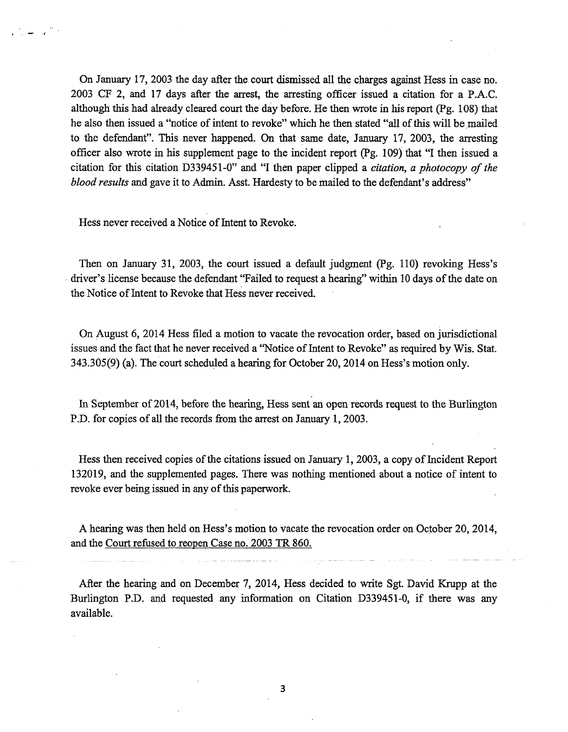On January 17, 2003 the day after the court dismissed all the charges against Hess in case no. 2003 CF 2, and 17 days after the arrest, the arresting officer issued a citation for a P.A.C. although this had already cleared court the day before. He then wrote in his report (Pg. 108) that he also then issued <sup>a</sup> "notice of intent to revoke" which he then stated "all ofthis will be mailed to the defendant". This never happened. On that same date, January 17, 2003, the arresting officer also wrote in his supplement page to the incident report (Pg. 109) that "I then issued <sup>a</sup> citation for this citation D339451-0" and "I then paper clipped <sup>a</sup> *citation, <sup>a</sup> photocopy of the blood results* and gave it to Admin. Asst. Hardesty to be mailed to the defendant's address"

Hess never received a Notice of Intent to Revoke.

Then on January 31, 2003, the court issued <sup>a</sup> default judgment (Pg. 110) revoking Hess's driver's license because the defendant "Failed to request a hearing" within 10 days of the date on the Notice of Intent to Revoke that Hess never received.

On August 6, 2014 Hess filed a motion to vacate the revocation order, based on jurisdictional issues and the fact that he never received a "Notice of Intent to Revoke" as required by Wis. Stat. 343.305(9) (a). The court scheduled <sup>a</sup> hearing for October 20,2014 on Hess's motion only.

In September of 2014, before the hearing, Hess sent an open records request to the Burlington P.D. for copies of all the records from the arrest on January 1, 2003.

Hess then received copies of the citations issued on January 1, 2003, a copy of Incident Report 132019, and the supplemented pages. There was nothing mentioned about <sup>a</sup> notice of intent to revoke ever being issued in any of this paperwork.

A hearing was then held on Hess's motion to vacate the revocation order on October 20, 2014, and the Court refused to reopen Case no. 2003 TR 860.

After the hearing and on December 7, 2014, Hess decided to write Sgt. David Krupp at the Burlington P.D. and requested any information on Citation D339451-0, if there was any available.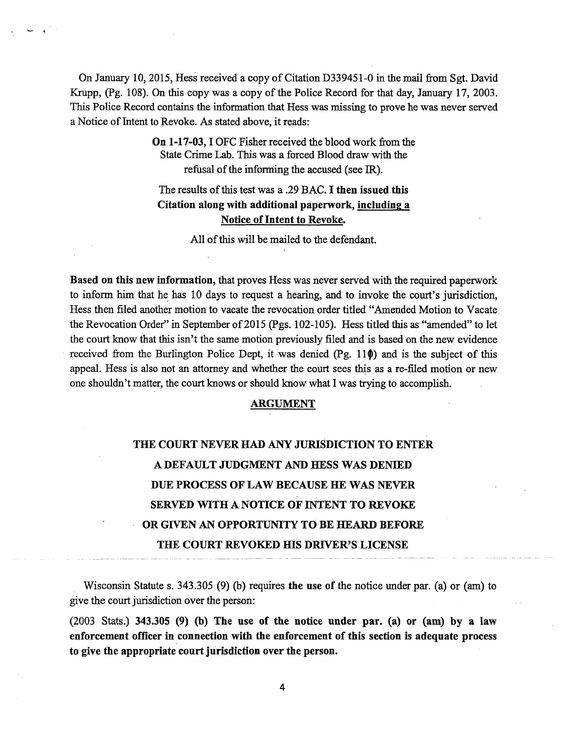On January 10, 2015, Hess received <sup>a</sup> copy of Citation D339451-0 in the mail from Sgt. David Krupp, (Pg. 108). On this copy was a copy of the Police Record for that day, January 17, 2003. This Police Record contains the information that Hess was missing to prove he was never served a Notice of Intent to Revoke. As stated above, it reads:

> **On 1-17-03,**1OFC Fisher received the blood work from the State Crime Lab. This was a forced Blood draw with the refusal of the informing the accused (see IR).

# The results ofthis test was <sup>a</sup> .29 BAC. **I then issued this Citation along with additional paperwork, including a Notice of Intent to Revoke.**

All of this will be mailed to the defendant.

**Based on this new information,** that proves Hess was never served with the required paperwork to inform him that he has <sup>10</sup> days to request <sup>a</sup> hearing, and to invoke the court's jurisdiction, Hess then filed another motion to vacate the revocation order titled "Amended Motion to Vacate the Revocation Order" in September of 2015 (Pgs. 102-105). Hess titled this as "amended" to let the court know that this isn't the same motion previously filed and is based on the new evidence received from the Burlington Police Dept, it was denied  $(Pg. 11\phi)$  and is the subject of this appeal. Hess is also not an attorney and whether the court sees this as a re-filed motion or new one shouldn't matter, the court knows or should know what I was trying to accomplish.

### **ARGUMENT**

# **THE COURT NEVER HAD ANY JURISDICTION TO ENTER A DEFAULT JUDGMENT AND HESS WAS DENIED DUE PROCESS OF LAW BECAUSE HE WAS NEVER SERVED WITH A NOTICE OF INTENT TO REVOKE OR GIVEN AN OPPORTUNITY TO BE HEARD BEFORE THE COURT REVOKED HIS DRIVER'S LICENSE**

Wisconsin Statute s. 343.305 (9) (b) requires **the use of** the notice under par. (a) or (am) to give the court jurisdiction over the person:

(2003 Stats.) **343.305 (9) (b) The use of the notice under par. (a) or (am) by a law enforcement officer in connection with the enforcement of this section is adequate process to give the appropriate court jurisdiction over the person.**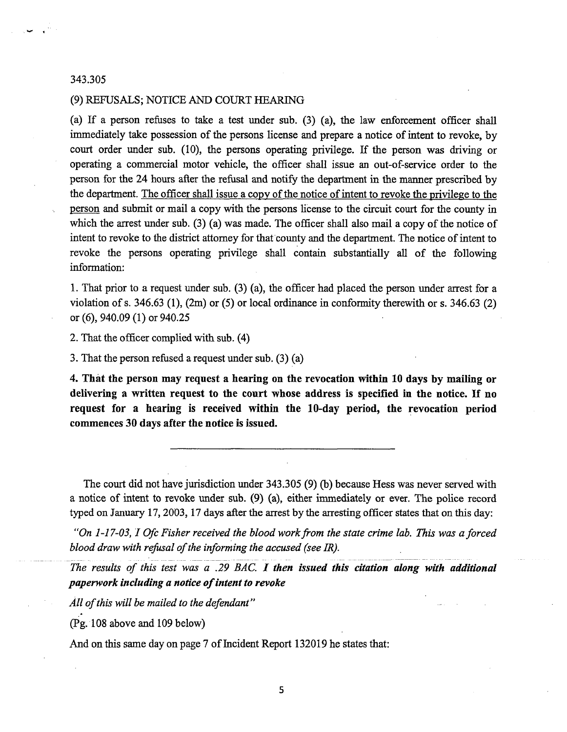#### 343.305

#### (9) REFUSALS; NOTICE AND COURT HEARING

(a) If <sup>a</sup> person refuses to take <sup>a</sup> test under sub. (3) (a), the law enforcement officer shall immediately take possession of the persons license and prepare <sup>a</sup> notice of intent to revoke, by court order under sub. (10), the persons operating privilege. If the person was driving or operating a commercial motor vehicle, the officer shall issue an out-of-service order to the person for the 24 hours after the refusal and notify the department in the manner prescribed by the department. The officer shall issue a copy of the notice of intent to revoke the privilege to the person and submit or mail a copy with the persons license to the circuit court for the county in which the arrest under sub.  $(3)$  (a) was made. The officer shall also mail a copy of the notice of intent to revoke to the district attorney for that county and the department. The notice of intent to revoke the persons operating privilege shall contain substantially all of the following information:

1. That prior to a request under sub. (3) (a), the officer had placed the person under arrest for a violation of s. 346.63 (1), (2m) or (5) or local ordinance in conformity therewith or s. 346.63 (2) or (6), 940.09(1) or 940.25

2. That the officer complied with sub. (4)

3. That the person refused a request under sub. (3) (a)

**4. That the person may request a hearing on the revocation within 10 days by mailing or delivering <sup>a</sup> written request to the court whose address is specified in the notice. If no request for a hearing is received within the 10-day period, the revocation period commences 30 days after the notice is issued.**

The court did not have jurisdiction under 343.305 (9) (b) because Hess was never served with a notice of intent to revoke under sub. (9) (a), either immediately or ever. The police record typed on January 17,2003,17 days after the arrest by the arresting officer states that on this day:

*"On 1-17-03,1 Ofc Fisher received the blood workfrom the state crime lab. This was aforced blood draw with refusal of the informing the accused (see IR).* 

*The results of this test was <sup>a</sup> .29 BAC. I then issued this citation along with additional paperwork including a notice ofintent to revoke*

*All ofthis will be mailed to the defendant"*

(Pg. 108 above and 109 below)

And on this same day on page 7 of Incident Report 132019 he states that:

**5**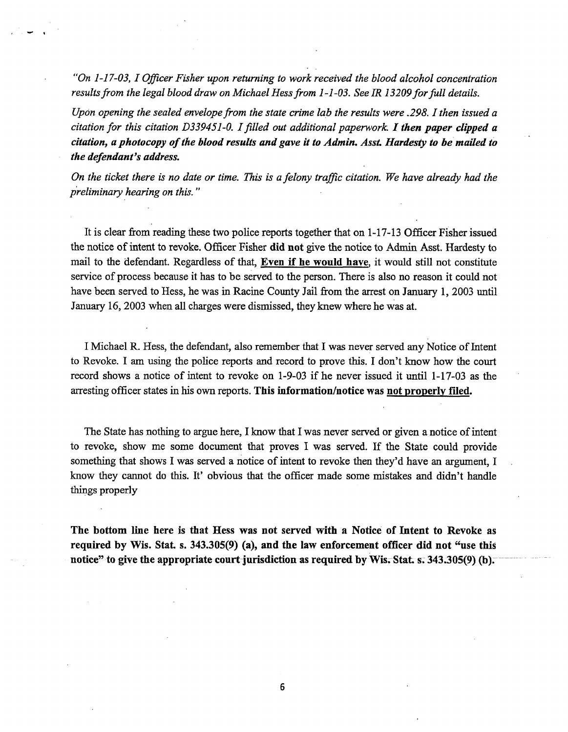*"On 1-17-03,1 Officer Fisher upon returning to work received the blood alcohol concentration resultsfrom the legal blood draw on Michael Hessfrom 1-1-03. See IR 13209forfull details.*

*Upon opening the sealed envelopefrom the state crime lab the results were .298.1 then issued a citation for this citation D339451-0. Ifilled out additional paperwork. Ithen paper clipped <sup>a</sup> citation, a photocopy ofthe blood results and gave it to Admin. Asst Hardesty to be mailed to the defendant's address.*

On the ticket there is no date or time. This is a felony traffic citation. We have already had the *preliminary hearing on this. "*

It is clear from reading these two police reports together that on 1-17-13 Officer Fisher issued the notice of intent to revoke. Officer Fisher **did not** give the notice to Admin Asst. Hardesty to mail to the defendant. Regardless of that, **Even if he would have,** it would still not constitute service of process because it has to be served to the person. There is also no reason it could not have been served to Hess, he was in Racine County Jail from the arrest on January 1, 2003 until January 16, 2003 when all charges were dismissed, they knew where he was at.

I Michael R. Hess, the defendant, also remember that I was never served any Notice of Intent to Revoke. I am using the police reports and record to prove this. I don't know how the court record shows <sup>a</sup> notice of intent to revoke on 1-9-03 if he never issued it until 1-17-03 as the arresting officer states in his own reports. **This information/notice was not properly filed.**

The State has nothing to argue here, I know that I was never served or given a notice of intent to revoke, show me some document that proves I was served. If the State could provide something that shows I was served a notice of intent to revoke then they'd have an argument, I know they cannot do this. It' obvious that the officer made some mistakes and didn't handle things properly

**The bottom line here is that Hess was not served with a Notice of Intent to Revoke as required by Wis. Stat. s. 343.305(9) (a), and the law enforcement officer did not "use this notice" to give the appropriate court jurisdiction as required by Wis. Stat s. 343.305(9) (b).**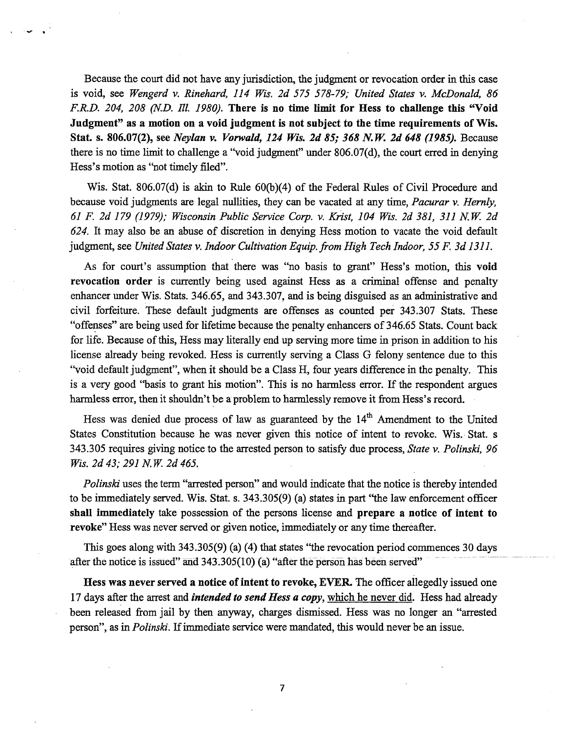Because the court did not have any jurisdiction, the judgment or revocation order in this case is void, see *Wengerd* v. *Rinehard, 114 Wis. 2d 575 578-79; United States* v. *McDonald, 86 F.R.D. 204, <sup>208</sup> (N.D. III. 1980).* **There is no time limit for Hess to challenge this "Void Judgment" as <sup>a</sup> motion on <sup>a</sup> void judgment is not subject to the time requirements of Wis. Stat. s. 806.07(2), see** *Neylan* v. *Vorwald, 124 Wis. 2d 85; 368 N.W. 2d 648 (1985).* Because there is no time limit to challenge <sup>a</sup> "void judgment" under 806.07(d), the court erred in denying Hess's motion as "not timely filed".

Wis. Stat. 806.07(d) is akin to Rule 60(b)(4) of the Federal Rules of Civil Procedure and because void judgments are legal nullities, they can be vacated at any time, *Pacurar* v. *Hemly, 61 F. 2d 179 (1979); Wisconsin Public Service Corp.* v. *Krist, 104 Wis. 2d 381, 311 N.W. 2d 624.* It may also be an abuse of discretion in denying Hess motion to vacate the void default judgment, see *United States* v. *Indoor Cultivation Equip, from High Tech Indoor, 55 F. 3d 1311.*

As for court's assumption that there was "no basis to grant" Hess's motion, this **void revocation order** is currently being used against Hess as a criminal offense and penalty enhancer under Wis. Stats. 346.65, and 343.307, and is being disguised as an administrative and civil forfeiture. These default judgments are offenses as counted per 343.307 Stats. These "offenses" are being used for lifetime because the penalty enhancers of 346.65 Stats. Count back for life. Because of this, Hess may literally end up serving more time in prison in addition to his license already being revoked. Hess is currently serving a Class G felony sentence due to this "void default judgment", when it should be <sup>a</sup> Class H, four years difference in the penalty. This is <sup>a</sup> very good "basis to grant his motion". This is no harmless error. If the respondent argues harmless error, then it shouldn't be <sup>a</sup> problem to harmlessly remove it from Hess's record.

Hess was denied due process of law as guaranteed by the  $14<sup>th</sup>$  Amendment to the United States Constitution because he was never given this notice of intent to revoke. Wis. Stat. <sup>s</sup> 343.305 requires giving notice to the arrested person to satisfy due process, *State* v. *Polinski, 96 Wis. 2d 43; 291N. W. 2d 465.*

*Polinski* uses the term "arrested person" and would indicate that the notice is thereby intended to be immediately served. Wis. Stat. s. 343.305(9) (a) states in part "the law enforcement officer **shall immediately** take possession of the persons license and **prepare a notice of intent to revoke"** Hess was never served or given notice, immediately or any time thereafter.

This goes along with 343.305(9) (a) (4) that states "the revocation period commences <sup>30</sup> days after the notice is issued" and 343.305(10) (a) "after the person has been served"

**Hess was never served a notice of intent to revoke, EVER.** The officer allegedly issued one 17 days after the arrest and *intended to send Hess a copy,* which he never did. Hess had already been released from jail by then anyway, charges dismissed. Hess was no longer an "arrested person", as in *Polinski.* Ifimmediate service were mandated, this would never be an issue.

**7**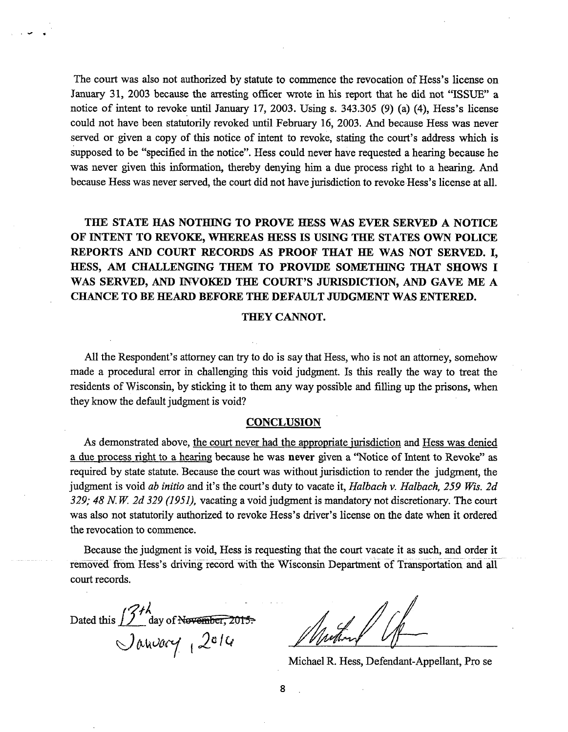The court was also not authorized by statute to commence the revocation of Hess's license on January 31, <sup>2003</sup> because the arresting officer wrote in his report that he did not "ISSUE" <sup>a</sup> notice of intent to revoke until January 17, 2003. Using s. 343.305 (9) (a) (4), Hess's license could not have been statutorily revoked until February 16, 2003. And because Hess was never served or given <sup>a</sup> copy of this notice of intent to revoke, stating the court's address which is supposed to be "specified in the notice". Hess could never have requested <sup>a</sup> hearing because he was never given this information, thereby denying him a due process right to a hearing. And because Hess was never served, the court did not have jurisdiction to revoke Hess's license at all.

**THE STATE HAS NOTHING TO PROVE HESS WAS EVER SERVED A NOTICE OF INTENT TO REVOKE, WHEREAS HESS IS USING THE STATES OWN POLICE REPORTS AND COURT RECORDS AS PROOF THAT HE WAS NOT SERVED. I, HESS, AM CHALLENGING THEM TO PROVIDE SOMETHING THAT SHOWS I WAS SERVED, AND INVOKED THE COURT'S JURISDICTION, AND GAVE ME A CHANCE TO BE HEARD BEFORE THE DEFAULT JUDGMENT WAS ENTERED.**

#### **THEY CANNOT.**

All the Respondent's attorney can try to do is say that Hess, who is not an attorney, somehow made a procedural error in challenging this void judgment. Is this really the way to treat the residents of Wisconsin, by sticking it to them any way possible and filling up the prisons, when they know the default judgment is void?

#### **CONCLUSION**

As demonstrated above, the court never had the appropriate jurisdiction and Hess was denied <sup>a</sup> due process right to <sup>a</sup> hearing because he was **never** given <sup>a</sup> "Notice of Intent to Revoke" as required by state statute. Because the court was without jurisdiction to render the judgment, the judgment is void *ab initio* and it's the court's duty to vacate it, *Halbach v. Halbach, 259 Wis. 2d 329; 48 N. W. 2d 329 (1951),* vacating a void judgment is mandatory not discretionary. The court was also not statutorily authorized to revoke Hess's driver's license on the date when it ordered the revocation to commence.

Because the judgment is void, Hess is requesting that the court vacate it as such, and order it removed from Hess's driving record with the Wisconsin Department of Transportation and all court records.

Dated this *2c id*

Michael R. Hess, Defendant-Appellant, Pro se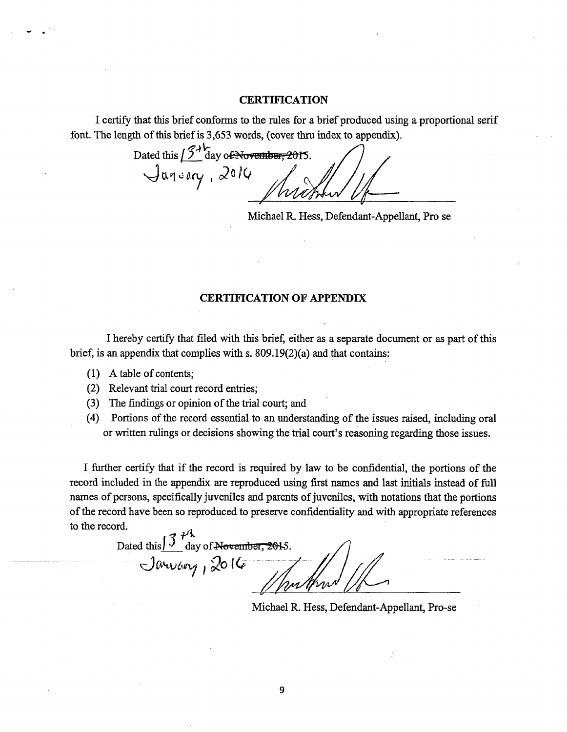### **CERTIFICATION**

I certify that this brief conforms to the rules for a brief produced using a proportional serif font. The length of this brief is 3,653 words, (cover thru index to appendix).

Dated this  $15\frac{12}{100}$  day of November, 2015.

Michael R. Hess, Defendant-Appellant, Pro se

### CERTIFICATION OF APPENDIX

I hereby certify that filed with this brief, either as a separate document or as part of this brief, is an appendix that complies with s. 809.19(2)(a) and that contains:

- $(1)$  A table of contents;
- (2) Relevant trial court record entries;
- (3) The findings or opinion of the trial court; and
- (4) Portions of the record essential to an understanding of the issues raised, including oral or written rulings or decisions showing the trial court's reasoning regarding those issues.

I further certify that if the record is required by law to be confidential, the portions of the record included in the appendix are reproduced using first names and last initials instead of full names of persons, specifically juveniles and parents of juveniles, with notations that the portions of the record have been so reproduced to preserve confidentiality and with appropriate references to the record.

Dated this  $\int \frac{\partial^2 V}{\partial \phi}$  day of November, 2015. **<sup>i</sup>** *Qp (0*

Michael R. Hess, Defendant-Appellant, Pro-se